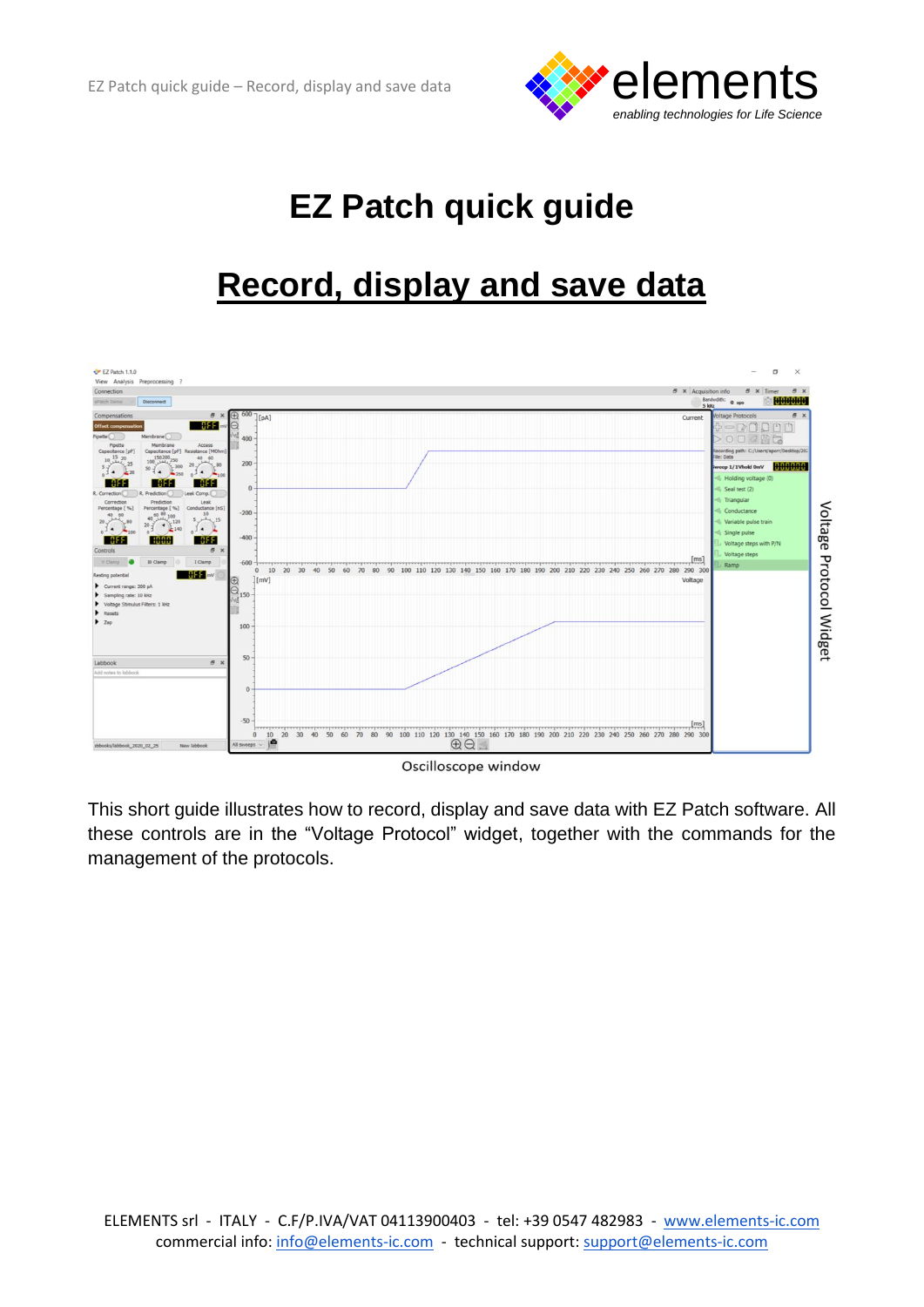

# **EZ Patch quick guide**

## **Record, display and save data**



This short guide illustrates how to record, display and save data with EZ Patch software. All these controls are in the "Voltage Protocol" widget, together with the commands for the management of the protocols.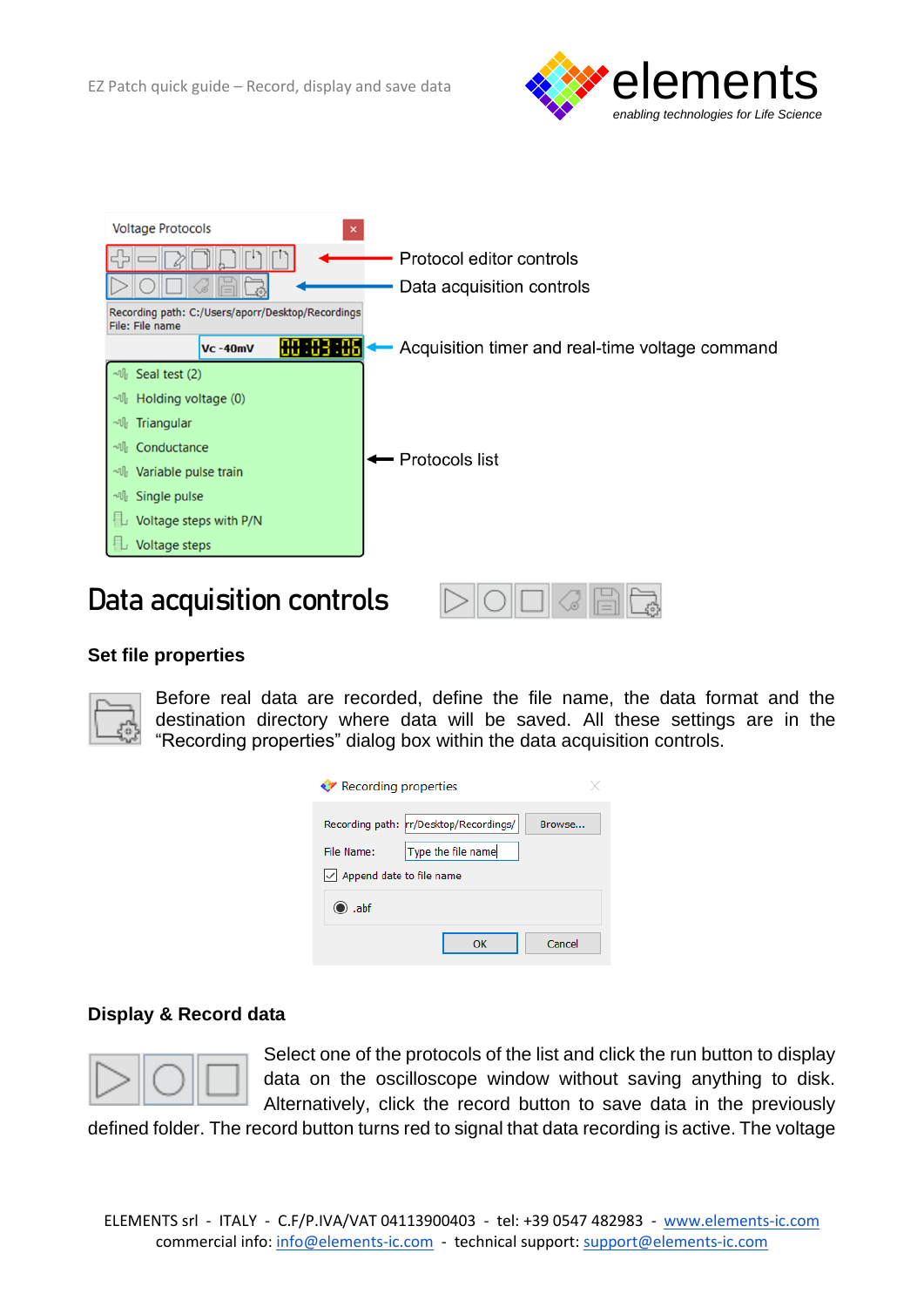



### **Data acquisition controls**

#### **Set file properties**



Before real data are recorded, define the file name, the data format and the destination directory where data will be saved. All these settings are in the "Recording properties" dialog box within the data acquisition controls.

| <b>◆ Recording properties</b>                              |                                                             |        |
|------------------------------------------------------------|-------------------------------------------------------------|--------|
| File Name:                                                 | Recording path: r/Desktop/Recordings/<br>Type the file name | Browse |
| $\vert \mathcal{p} \vert$ Append date to file name<br>.abf |                                                             |        |
|                                                            | ок                                                          | Cancel |

#### **Display & Record data**



Select one of the protocols of the list and click the run button to display data on the oscilloscope window without saving anything to disk. Alternatively, click the record button to save data in the previously

defined folder. The record button turns red to signal that data recording is active. The voltage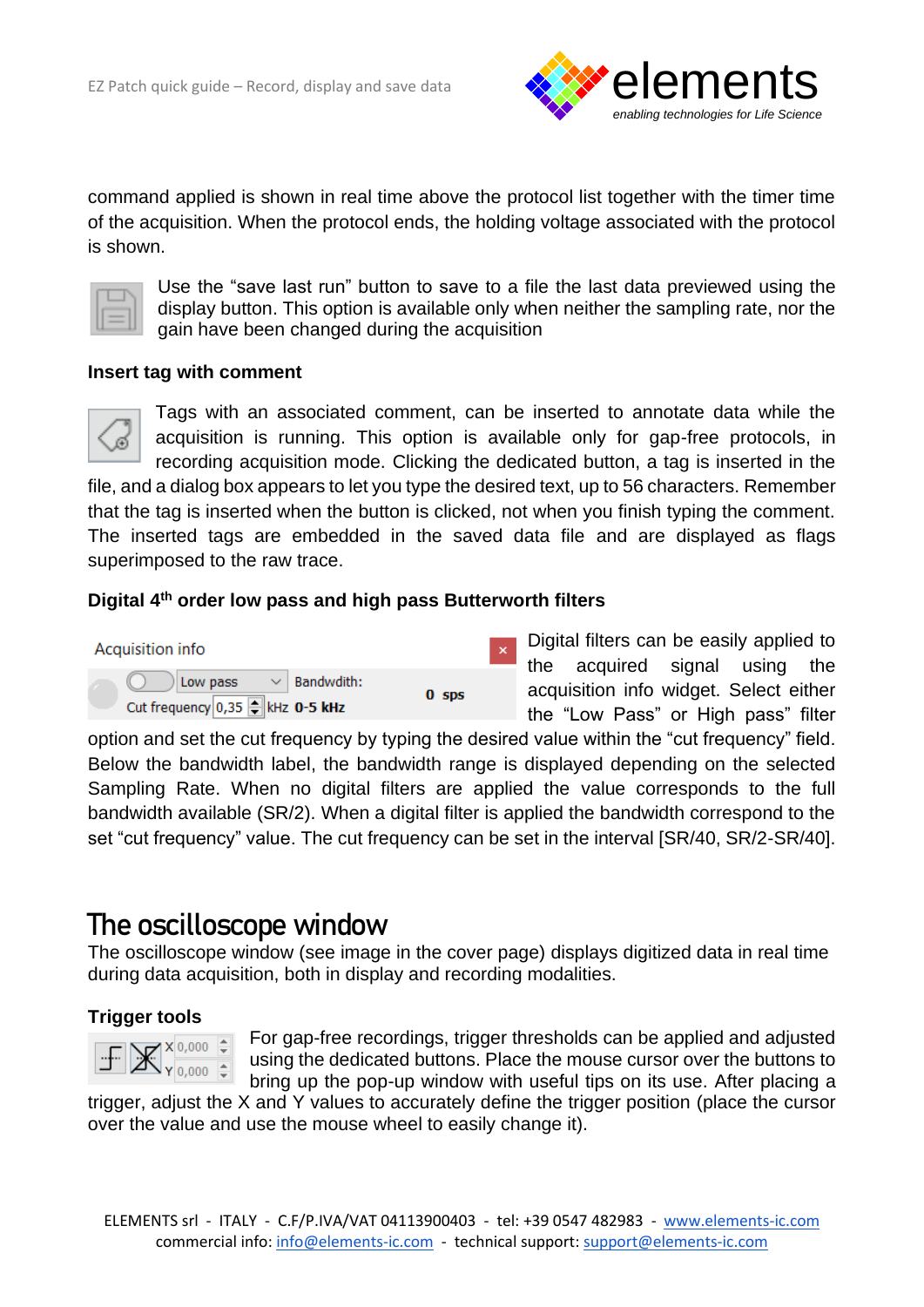

command applied is shown in real time above the protocol list together with the timer time of the acquisition. When the protocol ends, the holding voltage associated with the protocol is shown.



Use the "save last run" button to save to a file the last data previewed using the display button. This option is available only when neither the sampling rate, nor the gain have been changed during the acquisition

#### **Insert tag with comment**



Tags with an associated comment, can be inserted to annotate data while the acquisition is running. This option is available only for gap-free protocols, in recording acquisition mode. Clicking the dedicated button, a tag is inserted in the

file, and a dialog box appears to let you type the desired text, up to 56 characters. Remember that the tag is inserted when the button is clicked, not when you finish typing the comment. The inserted tags are embedded in the saved data file and are displayed as flags superimposed to the raw trace.

#### **Digital 4 th order low pass and high pass Butterworth filters**



Digital filters can be easily applied to the acquired signal using the acquisition info widget. Select either the "Low Pass" or High pass" filter

option and set the cut frequency by typing the desired value within the "cut frequency" field. Below the bandwidth label, the bandwidth range is displayed depending on the selected Sampling Rate. When no digital filters are applied the value corresponds to the full bandwidth available (SR/2). When a digital filter is applied the bandwidth correspond to the set "cut frequency" value. The cut frequency can be set in the interval [SR/40, SR/2-SR/40].

### **The oscilloscope window**

The oscilloscope window (see image in the cover page) displays digitized data in real time during data acquisition, both in display and recording modalities.

#### **Trigger tools**



For gap-free recordings, trigger thresholds can be applied and adjusted using the dedicated buttons. Place the mouse cursor over the buttons to bring up the pop-up window with useful tips on its use. After placing a

trigger, adjust the X and Y values to accurately define the trigger position (place the cursor over the value and use the mouse wheel to easily change it).